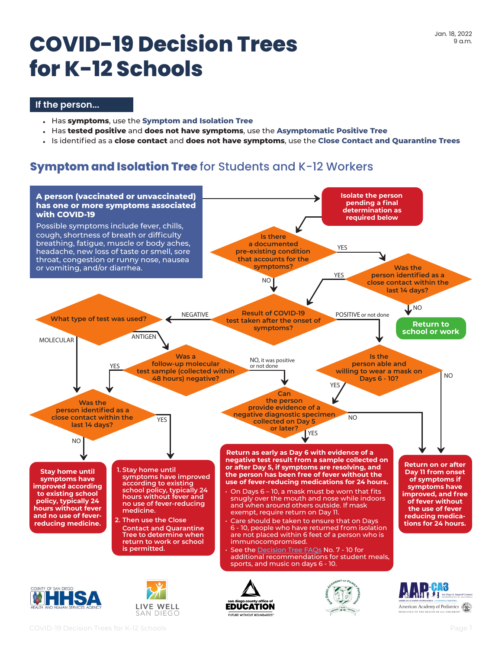# **COVID-19 Decision Trees for K-12 Schools**

#### **If the person...**

- Has **symptoms**, use the **Symptom and Isolation Tree**
- Has **tested positive** and **does not have symptoms**, use the **Asymptomatic Positive Tree**
- Is identified as a **close contact** and **does not have symptoms**, use the **Close Contact and Quarantine Trees**

## **Symptom and Isolation Tree** for Students and K-12 Workers

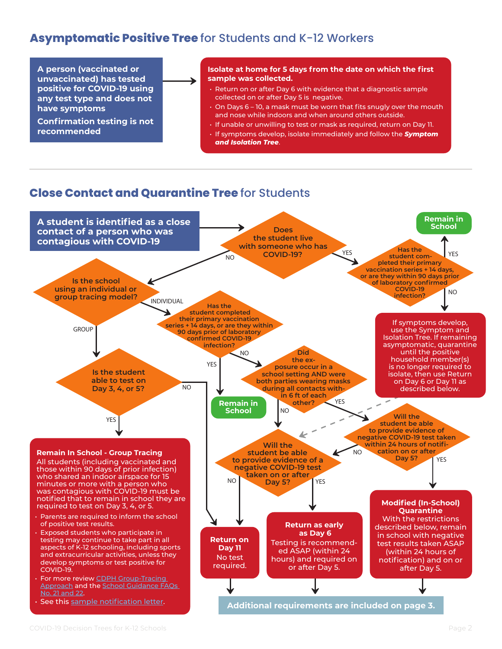## **Asymptomatic Positive Tree** for Students and K-12 Workers

**A person (vaccinated or unvaccinated) has tested positive for COVID-19 using any test type and does not have symptoms**

**Confirmation testing is not recommended**

#### **Isolate at home for 5 days from the date on which the first sample was collected.**

- Return on or after Day 6 with evidence that a diagnostic sample collected on or after Day 5 is negative.
- On Days 6 10, a mask must be worn that fits snugly over the mouth and nose while indoors and when around others outside.
- If unable or unwilling to test or mask as required, return on Day 11.
- If symptoms develop, isolate immediately and follow the *Symptom and Isolation Tree*.

## **Close Contact and Quarantine Tree** for Students

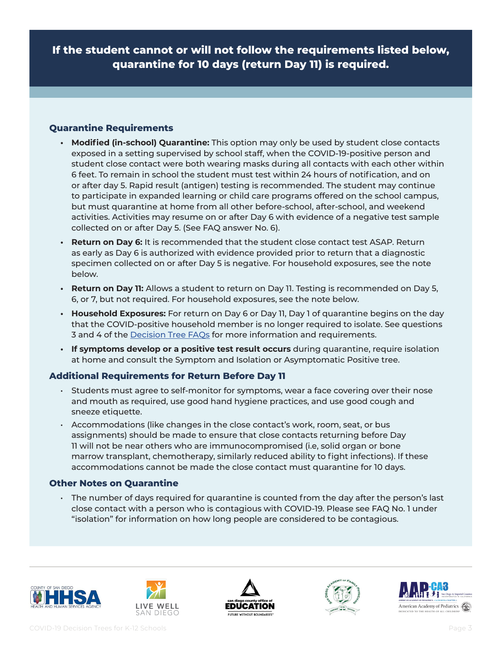**If the student cannot or will not follow the requirements listed below, quarantine for 10 days (return Day 11) is required.**

#### **Quarantine Requirements**

- **• Modified (in-school) Quarantine:** This option may only be used by student close contacts exposed in a setting supervised by school staff, when the COVID-19-positive person and student close contact were both wearing masks during all contacts with each other within 6 feet. To remain in school the student must test within 24 hours of notification, and on or after day 5. Rapid result (antigen) testing is recommended. The student may continue to participate in expanded learning or child care programs offered on the school campus, but must quarantine at home from all other before-school, after-school, and weekend activities. Activities may resume on or after Day 6 with evidence of a negative test sample collected on or after Day 5. (See FAQ answer No. 6).
- **• Return on Day 6:** It is recommended that the student close contact test ASAP. Return as early as Day 6 is authorized with evidence provided prior to return that a diagnostic specimen collected on or after Day 5 is negative. For household exposures, see the note below.
- **• Return on Day 11:** Allows a student to return on Day 11. Testing is recommended on Day 5, 6, or 7, but not required. For household exposures, see the note below.
- **• Household Exposures:** For return on Day 6 or Day 11, Day 1 of quarantine begins on the day that the COVID-positive household member is no longer required to isolate. See questions 3 and 4 of the [Decision Tree FAQs](https://covid-19.sdcoe.net/Health-Practices/Guidelines-for-Schools#faq) for more information and requirements.
- **• If symptoms develop or a positive test result occurs** during quarantine, require isolation at home and consult the Symptom and Isolation or Asymptomatic Positive tree.

### **Additional Requirements for Return Before Day 11**

- Students must agree to self-monitor for symptoms, wear a face covering over their nose and mouth as required, use good hand hygiene practices, and use good cough and sneeze etiquette.
- Accommodations (like changes in the close contact's work, room, seat, or bus assignments) should be made to ensure that close contacts returning before Day 11 will not be near others who are immunocompromised (i.e, solid organ or bone marrow transplant, chemotherapy, similarly reduced ability to fight infections). If these accommodations cannot be made the close contact must quarantine for 10 days.

### **Other Notes on Quarantine**

 $\cdot$  The number of days required for quarantine is counted from the day after the person's last close contact with a person who is contagious with COVID-19. Please see FAQ No. 1 under "isolation" for information on how long people are considered to be contagious.